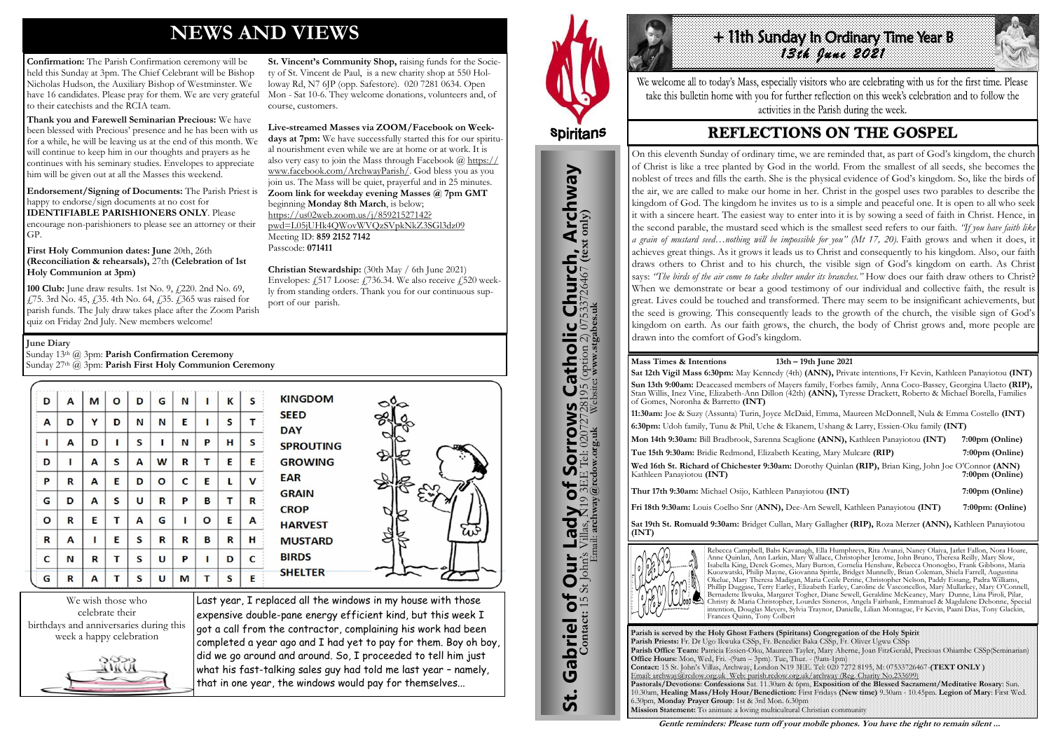# **NEWS AND VIEWS**

**Confirmation:** The Parish Confirmation ceremony will be held this Sunday at 3pm. The Chief Celebrant will be Bishop Nicholas Hudson, the Auxiliary Bishop of Westminster. We have 16 candidates. Please pray for them. We are very grateful Mon - Sat 10-6. They welcome donations, volunteers and, of to their catechists and the RCIA team.

**Thank you and Farewell Seminarian Precious:** We have been blessed with Precious' presence and he has been with us for a while, he will be leaving us at the end of this month. We will continue to keep him in our thoughts and prayers as he continues with his seminary studies. Envelopes to appreciate him will be given out at all the Masses this weekend.

**100 Club:** June draw results. 1st No. 9,  $\frac{1}{2}$  220. 2nd No. 69, £75. 3rd No. 45, £35. 4th No. 64, £35. £365 was raised for parish funds. The July draw takes place after the Zoom Parish quiz on Friday 2nd July. New members welcome!

**Endorsement/Signing of Documents:** The Parish Priest is happy to endorse/sign documents at no cost for **IDENTIFIABLE PARISHIONERS ONLY**. Please encourage non-parishioners to please see an attorney or their GP.

**First Holy Communion dates: June** 20th, 26th **(Reconciliation & rehearsals),** 27th **(Celebration of 1st Holy Communion at 3pm)** 

**St. Vincent's Community Shop,** raising funds for the Society of St. Vincent de Paul, is a new charity shop at 550 Holloway Rd, N7 6JP (opp. Safestore). 020 7281 0634. Open course, customers.

# + 11th Sunday In Ordinary Time Year B *13th June 2021*

We welcome all to today's Mass, especially visitors who are celebrating with us for the first time. Please take this bulletin home with you for further reflection on this week's celebration and to follow the activities in the Parish during the week.

## **REFLECTIONS ON THE GOSPEL**

**Live-streamed Masses via ZOOM/Facebook on Week-**

**days at 7pm:** We have successfully started this for our spiritual nourishment even while we are at home or at work. It is also very easy to join the Mass through Facebook @ [https://](https://www.facebook.com/ArchwayParish/) [www.facebook.com/ArchwayParish/.](https://www.facebook.com/ArchwayParish/) God bless you as you join us. The Mass will be quiet, prayerful and in 25 minutes. **Zoom link for weekday evening Masses @ 7pm GMT**  beginning **Monday 8th March**, is below; [https://us02web.zoom.us/j/85921527142?](https://us02web.zoom.us/j/85921527142?pwd=L05jUHk4QWovWVQzSVpkNkZ3SGl3dz09) [pwd=L05jUHk4QWovWVQzSVpkNkZ3SGl3dz09](https://us02web.zoom.us/j/85921527142?pwd=L05jUHk4QWovWVQzSVpkNkZ3SGl3dz09) Meeting ID: **859 2152 7142**  Passcode: **071411** 

**Christian Stewardship:** (30th May / 6th June 2021) Envelopes:  $\angle 517$  Loose:  $\angle 736.34$ . We also receive  $\angle 520$  weekly from standing orders. Thank you for our continuous support of our parish.

| D           | A           | M | O | D | G | N           | ı | К | S | <b>KINGDOM</b>                                | ⊲సం |
|-------------|-------------|---|---|---|---|-------------|---|---|---|-----------------------------------------------|-----|
| A           | D           | Y | D | N | N | E           |   | S | т | <b>SEED</b><br><b>DAY</b>                     |     |
| ı           | A           | D | ı | S | Π | N           | P | н | S | <b>SPROUTING</b><br><b>GROWING</b>            |     |
| D           | ı           | A | S | A | W | R           | Т | E | E |                                               |     |
| P           | R           | A | E | D | O | C           | E | L | V | <b>EAR</b>                                    |     |
| G           | D           | A | S | U | R | P           | B | т | R | <b>GRAIN</b><br><b>CROP</b><br><b>HARVEST</b> |     |
| O           | $\mathbf R$ | E | т | A | G | ı           | O | E | A |                                               |     |
| $\mathbf R$ | A           | п | E | S | R | $\mathbf R$ | B | R | н | <b>MUSTARD</b>                                |     |
| C           | N           | R | т | S | U | P           | Π | D | C | <b>BIRDS</b>                                  |     |
| G           | R           | А | т | S | U | M           | т | S | E | <b>SHELTER</b>                                |     |

We wish those who celebrate their birthdays and anniversaries during this week a happy celebration



Last year, I replaced all the windows in my house with those expensive double-pane energy efficient kind, but this week I got a call from the contractor, complaining his work had been completed a year ago and I had yet to pay for them. Boy oh boy, did we go around and around. So, I proceeded to tell him just what his fast-talking sales guy had told me last year – namely, that in one year, the windows would pay for themselves...



St. Gabriel of Our Lady of Sorrows Catholic Church, Archway

**Sorrows** 

Gabriel of Our Lady of Sorrow Contact: 15 St John's Villas, N19 3EE Tel: 02077

**St.** 

**IS Catholic Church, Archway**<br>28195 (option 2) 07533726467 (text only)<br>Website: www.stgabes.uk

**June Diary**

Sunday 13th @ 3pm: **Parish Confirmation Ceremony**

Sunday 27th @ 3pm: **Parish First Holy Communion Ceremony** 

**Parish is served by the Holy Ghost Fathers (Spiritans) Congregation of the Holy Spirit Parish Priests:** Fr. Dr Ugo Ikwuka CSSp, Fr. Benedict Baka CSSp, Fr. Oliver Ugwu CSSp **Parish Office Team:** Patricia Essien-Oku, Maureen Tayler, Mary Aherne, Joan FitzGerald, Precious Ohiambe CSSp(Seminarian) **Office Hours:** Mon, Wed, Fri. -(9am – 3pm). Tue, Thur. - (9am-1pm) **Contact:** 15 St. John's Villas, Archway, London N19 3EE. Tel: 020 7272 8195, M: 07533726467-**(TEXT ONLY )** Email: archway@rcdow.org.uk Web: parish.rcdow.org.uk/archway (Reg. Charity No.233699) **Pastorals/Devotions: Confessions** Sat. 11.30am & 6pm, **Exposition of the Blessed Sacrament/Meditative Rosary**: Sun. 10.30am, **Healing Mass/Holy Hour/Benediction:** First Fridays **(New time)** 9.30am - 10.45pm. **Legion of Mary**: First Wed. 6.30pm, **Monday Prayer Group**: 1st & 3rd Mon. 6.30pm **Mission Statement:** To animate a loving multicultural Christian community

**Contact:** 15 St John's Villas, N19 3EE Tel: 02072728195 (option 2) 07533726467 **(text only)** Email: **archway@rcdow.org.uk** Website**: www.stgabes.uk**

#### **Mass Times & Intentions 13th – 19th June 2021**

**Sat 12th Vigil Mass 6:30pm:** May Kennedy (4th) **(ANN),** Private intentions, Fr Kevin, Kathleen Panayiotou **(INT)** Sun 13th 9:00am: Deaceased members of Mayers family, Forbes family, Anna Coco-Bassey, Georgina Ulaeto (RIP), Stan Willis, Inez Vine, Elizabeth-Ann Dillon (42th) **(ANN),** Tyresse Drackett, Roberto & Michael Borella, Families of Gomes, Noronha & Barretto **(INT)**

**11:30am:** Joe & Suzy (Assunta) Turin, Joyce McDaid, Emma, Maureen McDonnell, Nula & Emma Costello **(INT) 6:30pm:** Udoh family, Tunu & Phil, Uche & Ekanem, Ushang & Larry, Essien-Oku family **(INT)**

**Mon 14th 9:30am:** Bill Bradbrook, Sarenna Scaglione **(ANN),** Kathleen Panayiotou **(INT) 7:00pm (Online) Tue 15th 9:30am:** Bridie Redmond, Elizabeth Keating, Mary Mulcare **(RIP) 7:00pm (Online) Wed 16th St. Richard of Chichester 9:30am:** Dorothy Quinlan **(RIP),** Brian King, John Joe O'Connor **(ANN)**  Kathleen Panayiotou **(INT) 7:00pm (Online) 7:00pm (Online**) **Thur 17th 9:30am:** Michael Osijo, Kathleen Panayiotou **(INT) 7:00pm (Online) Fri 18th 9:30am:** Louis Coelho Snr (**ANN),** Dee-Arn Sewell, Kathleen Panayiotou **(INT) 7:00pm: (Online)** 

**Sat 19th St. Romuald 9:30am:** Bridget Cullan, Mary Gallagher **(RIP),** Roza Merzer **(ANN),** Kathleen Panayiotou **(INT)**



Rebecca Campbell, Babs Kavanagh, Ella Humphreys, Rita Avanzi, Nancy Olaiya, Jarlet Fallon, Nora Hoare, Anne Quinlan, Ann Larkin, Mary Wallace, Christopher Jerome, John Bruno, Theresa Reilly, Mary Slow, Isabella King, Derek Gomes, Mary Burton, Cornelia Henshaw, Rebecca Ononogbo, Frank Gibbons, Maria Kuozwatski, Philip Mayne, Giovanna Spittle, Bridget Munnelly, Brian Coleman, Shiela Farrell, Augustina Okelue, Mary Theresa Madigan, Maria Cecile Perine, Christopher Nelson, Paddy Essang, Padra Williams, Phillip Duggase, Terry Earley, Elizabeth Earley, Caroline de Vasconcellos, Mary Mullarkey, Mary O'Connell, Bernadette Ikwuka, Margaret Togher, Diane Sewell, Geraldine McKeaney, Mary Dunne, Lina Piroli, Pilar, Christy & Maria Christopher, Lourdes Sisneros, Angela Fairbank, Emmanuel & Magdalene Debonne, Special intention, Douglas Meyers, Sylvia Traynor, Danielle, Lilian Montague, Fr Kevin, Paani Dias, Tony Glackin, Frances Quinn, Tony Colbert

**Gentle reminders: Please turn off your mobile phones. You have the right to remain silent ...** 

On this eleventh Sunday of ordinary time, we are reminded that, as part of God's kingdom, the church of Christ is like a tree planted by God in the world. From the smallest of all seeds, she becomes the noblest of trees and fills the earth. She is the physical evidence of God's kingdom. So, like the birds of the air, we are called to make our home in her. Christ in the gospel uses two parables to describe the kingdom of God. The kingdom he invites us to is a simple and peaceful one. It is open to all who seek it with a sincere heart. The easiest way to enter into it is by sowing a seed of faith in Christ. Hence, in the second parable, the mustard seed which is the smallest seed refers to our faith. *"If you have faith like a grain of mustard seed…nothing will be impossible for you" (Mt 17, 20).* Faith grows and when it does, it achieves great things. As it grows it leads us to Christ and consequently to his kingdom. Also, our faith draws others to Christ and to his church, the visible sign of God's kingdom on earth. As Christ says: *"The birds of the air come to take shelter under its branches."* How does our faith draw others to Christ? When we demonstrate or bear a good testimony of our individual and collective faith, the result is great. Lives could be touched and transformed. There may seem to be insignificant achievements, but the seed is growing. This consequently leads to the growth of the church, the visible sign of God's kingdom on earth. As our faith grows, the church, the body of Christ grows and, more people are drawn into the comfort of God's kingdom.